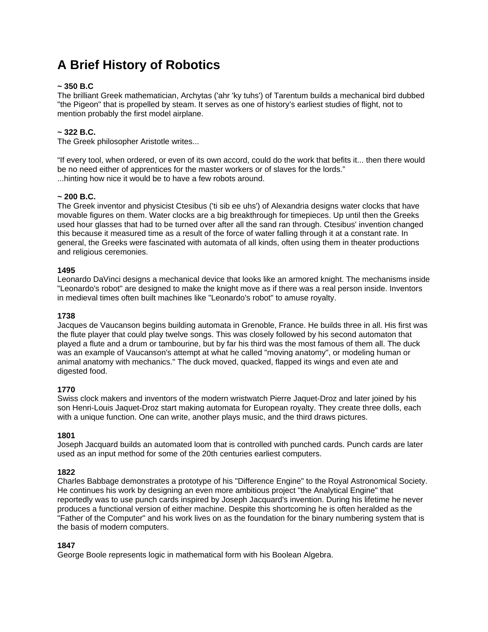# **A Brief History of Robotics**

# **~ 350 B.C**

The brilliant Greek mathematician, Archytas ('ahr 'ky tuhs') of Tarentum builds a mechanical bird dubbed "the Pigeon" that is propelled by steam. It serves as one of history's earliest studies of flight, not to mention probably the first model airplane.

# **~ 322 B.C.**

The Greek philosopher Aristotle writes...

"If every tool, when ordered, or even of its own accord, could do the work that befits it... then there would be no need either of apprentices for the master workers or of slaves for the lords." ...hinting how nice it would be to have a few robots around.

### **~ 200 B.C.**

The Greek inventor and physicist Ctesibus ('ti sib ee uhs') of Alexandria designs water clocks that have movable figures on them. Water clocks are a big breakthrough for timepieces. Up until then the Greeks used hour glasses that had to be turned over after all the sand ran through. Ctesibus' invention changed this because it measured time as a result of the force of water falling through it at a constant rate. In general, the Greeks were fascinated with automata of all kinds, often using them in theater productions and religious ceremonies.

### **1495**

Leonardo DaVinci designs a mechanical device that looks like an armored knight. The mechanisms inside "Leonardo's robot" are designed to make the knight move as if there was a real person inside. Inventors in medieval times often built machines like "Leonardo's robot" to amuse royalty.

### **1738**

Jacques de Vaucanson begins building automata in Grenoble, France. He builds three in all. His first was the flute player that could play twelve songs. This was closely followed by his second automaton that played a flute and a drum or tambourine, but by far his third was the most famous of them all. The duck was an example of Vaucanson's attempt at what he called "moving anatomy", or modeling human or animal anatomy with mechanics." The duck moved, quacked, flapped its wings and even ate and digested food.

### **1770**

Swiss clock makers and inventors of the modern wristwatch Pierre Jaquet-Droz and later joined by his son Henri-Louis Jaquet-Droz start making automata for European royalty. They create three dolls, each with a unique function. One can write, another plays music, and the third draws pictures.

### **1801**

Joseph Jacquard builds an automated loom that is controlled with punched cards. Punch cards are later used as an input method for some of the 20th centuries earliest computers.

### **1822**

Charles Babbage demonstrates a prototype of his "Difference Engine" to the Royal Astronomical Society. He continues his work by designing an even more ambitious project "the Analytical Engine" that reportedly was to use punch cards inspired by Joseph Jacquard's invention. During his lifetime he never produces a functional version of either machine. Despite this shortcoming he is often heralded as the "Father of the Computer" and his work lives on as the foundation for the binary numbering system that is the basis of modern computers.

### **1847**

George Boole represents logic in mathematical form with his Boolean Algebra.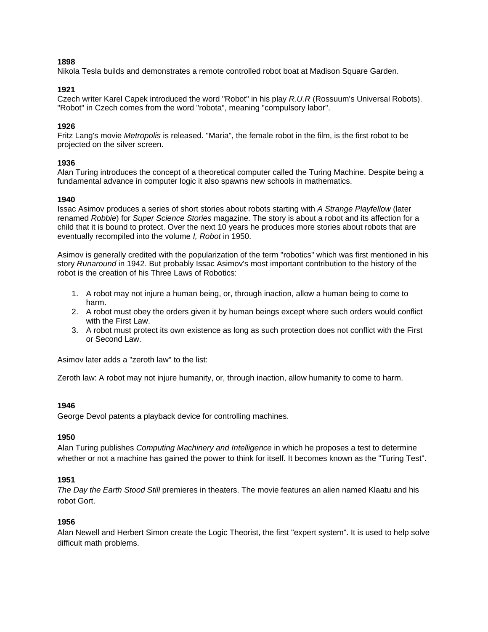# **1898**

Nikola Tesla builds and demonstrates a remote controlled robot boat at Madison Square Garden.

# **1921**

Czech writer Karel Capek introduced the word "Robot" in his play *R.U.R* (Rossuum's Universal Robots). "Robot" in Czech comes from the word "robota", meaning "compulsory labor".

### **1926**

Fritz Lang's movie *Metropolis* is released. "Maria", the female robot in the film, is the first robot to be projected on the silver screen.

### **1936**

Alan Turing introduces the concept of a theoretical computer called the Turing Machine. Despite being a fundamental advance in computer logic it also spawns new schools in mathematics.

### **1940**

Issac Asimov produces a series of short stories about robots starting with *A Strange Playfellow* (later renamed *Robbie*) for *Super Science Stories* magazine. The story is about a robot and its affection for a child that it is bound to protect. Over the next 10 years he produces more stories about robots that are eventually recompiled into the volume *I, Robot* in 1950.

Asimov is generally credited with the popularization of the term "robotics" which was first mentioned in his story *Runaround* in 1942. But probably Issac Asimov's most important contribution to the history of the robot is the creation of his Three Laws of Robotics:

- 1. A robot may not injure a human being, or, through inaction, allow a human being to come to harm.
- 2. A robot must obey the orders given it by human beings except where such orders would conflict with the First Law.
- 3. A robot must protect its own existence as long as such protection does not conflict with the First or Second Law.

Asimov later adds a "zeroth law" to the list:

Zeroth law: A robot may not injure humanity, or, through inaction, allow humanity to come to harm.

### **1946**

George Devol patents a playback device for controlling machines.

### **1950**

Alan Turing publishes *Computing Machinery and Intelligence* in which he proposes a test to determine whether or not a machine has gained the power to think for itself. It becomes known as the "Turing Test".

### **1951**

*The Day the Earth Stood Still* premieres in theaters. The movie features an alien named Klaatu and his robot Gort.

### **1956**

Alan Newell and Herbert Simon create the Logic Theorist, the first "expert system". It is used to help solve difficult math problems.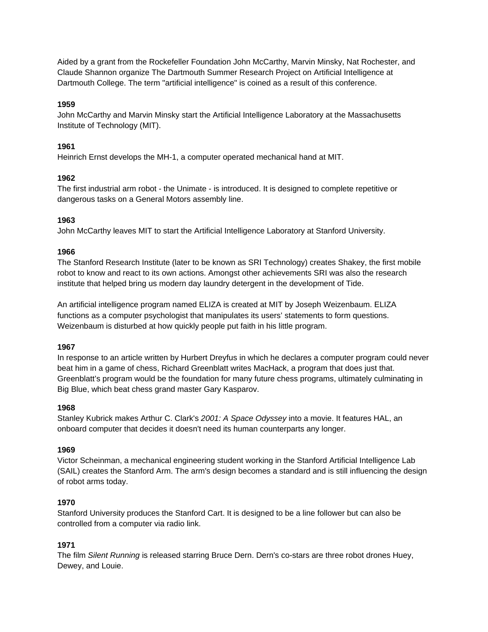Aided by a grant from the Rockefeller Foundation John McCarthy, Marvin Minsky, Nat Rochester, and Claude Shannon organize The Dartmouth Summer Research Project on Artificial Intelligence at Dartmouth College. The term "artificial intelligence" is coined as a result of this conference.

# **1959**

John McCarthy and Marvin Minsky start the Artificial Intelligence Laboratory at the Massachusetts Institute of Technology (MIT).

# **1961**

Heinrich Ernst develops the MH-1, a computer operated mechanical hand at MIT.

# **1962**

The first industrial arm robot - the Unimate - is introduced. It is designed to complete repetitive or dangerous tasks on a General Motors assembly line.

# **1963**

John McCarthy leaves MIT to start the Artificial Intelligence Laboratory at Stanford University.

# **1966**

The Stanford Research Institute (later to be known as SRI Technology) creates Shakey, the first mobile robot to know and react to its own actions. Amongst other achievements SRI was also the research institute that helped bring us modern day laundry detergent in the development of Tide.

An artificial intelligence program named ELIZA is created at MIT by Joseph Weizenbaum. ELIZA functions as a computer psychologist that manipulates its users' statements to form questions. Weizenbaum is disturbed at how quickly people put faith in his little program.

# **1967**

In response to an article written by Hurbert Dreyfus in which he declares a computer program could never beat him in a game of chess, Richard Greenblatt writes MacHack, a program that does just that. Greenblatt's program would be the foundation for many future chess programs, ultimately culminating in Big Blue, which beat chess grand master Gary Kasparov.

# **1968**

Stanley Kubrick makes Arthur C. Clark's *2001: A Space Odyssey* into a movie. It features HAL, an onboard computer that decides it doesn't need its human counterparts any longer.

# **1969**

Victor Scheinman, a mechanical engineering student working in the Stanford Artificial Intelligence Lab (SAIL) creates the Stanford Arm. The arm's design becomes a standard and is still influencing the design of robot arms today.

# **1970**

Stanford University produces the Stanford Cart. It is designed to be a line follower but can also be controlled from a computer via radio link.

# **1971**

The film *Silent Running* is released starring Bruce Dern. Dern's co-stars are three robot drones Huey, Dewey, and Louie.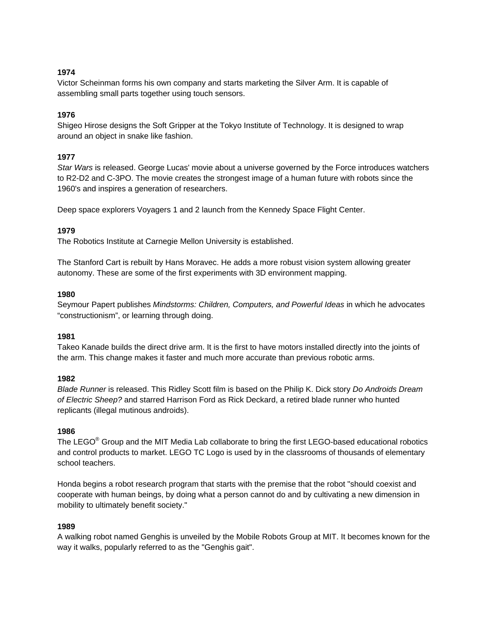# **1974**

Victor Scheinman forms his own company and starts marketing the Silver Arm. It is capable of assembling small parts together using touch sensors.

# **1976**

Shigeo Hirose designs the Soft Gripper at the Tokyo Institute of Technology. It is designed to wrap around an object in snake like fashion.

# **1977**

*Star Wars* is released. George Lucas' movie about a universe governed by the Force introduces watchers to R2-D2 and C-3PO. The movie creates the strongest image of a human future with robots since the 1960's and inspires a generation of researchers.

Deep space explorers Voyagers 1 and 2 launch from the Kennedy Space Flight Center.

# **1979**

The Robotics Institute at Carnegie Mellon University is established.

The Stanford Cart is rebuilt by Hans Moravec. He adds a more robust vision system allowing greater autonomy. These are some of the first experiments with 3D environment mapping.

# **1980**

Seymour Papert publishes *Mindstorms: Children, Computers, and Powerful Ideas* in which he advocates "constructionism", or learning through doing.

# **1981**

Takeo Kanade builds the direct drive arm. It is the first to have motors installed directly into the joints of the arm. This change makes it faster and much more accurate than previous robotic arms.

# **1982**

*Blade Runner* is released. This Ridley Scott film is based on the Philip K. Dick story *Do Androids Dream of Electric Sheep?* and starred Harrison Ford as Rick Deckard, a retired blade runner who hunted replicants (illegal mutinous androids).

# **1986**

The LEGO<sup>®</sup> Group and the MIT Media Lab collaborate to bring the first LEGO-based educational robotics and control products to market. LEGO TC Logo is used by in the classrooms of thousands of elementary school teachers.

Honda begins a robot research program that starts with the premise that the robot "should coexist and cooperate with human beings, by doing what a person cannot do and by cultivating a new dimension in mobility to ultimately benefit society."

# **1989**

A walking robot named Genghis is unveiled by the Mobile Robots Group at MIT. It becomes known for the way it walks, popularly referred to as the "Genghis gait".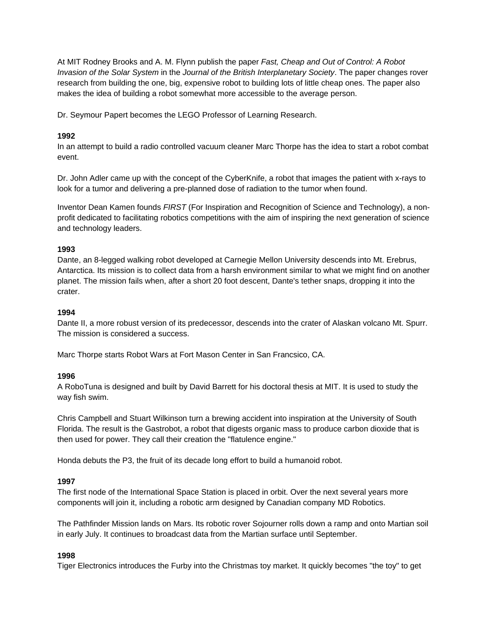At MIT Rodney Brooks and A. M. Flynn publish the paper *Fast, Cheap and Out of Control: A Robot Invasion of the Solar System* in the *Journal of the British Interplanetary Society*. The paper changes rover research from building the one, big, expensive robot to building lots of little cheap ones. The paper also makes the idea of building a robot somewhat more accessible to the average person.

Dr. Seymour Papert becomes the LEGO Professor of Learning Research.

# **1992**

In an attempt to build a radio controlled vacuum cleaner Marc Thorpe has the idea to start a robot combat event.

Dr. John Adler came up with the concept of the CyberKnife, a robot that images the patient with x-rays to look for a tumor and delivering a pre-planned dose of radiation to the tumor when found.

Inventor Dean Kamen founds *FIRST* (For Inspiration and Recognition of Science and Technology), a nonprofit dedicated to facilitating robotics competitions with the aim of inspiring the next generation of science and technology leaders.

# **1993**

Dante, an 8-legged walking robot developed at Carnegie Mellon University descends into Mt. Erebrus, Antarctica. Its mission is to collect data from a harsh environment similar to what we might find on another planet. The mission fails when, after a short 20 foot descent, Dante's tether snaps, dropping it into the crater.

# **1994**

Dante II, a more robust version of its predecessor, descends into the crater of Alaskan volcano Mt. Spurr. The mission is considered a success.

Marc Thorpe starts Robot Wars at Fort Mason Center in San Francsico, CA.

# **1996**

A RoboTuna is designed and built by David Barrett for his doctoral thesis at MIT. It is used to study the way fish swim.

Chris Campbell and Stuart Wilkinson turn a brewing accident into inspiration at the University of South Florida. The result is the Gastrobot, a robot that digests organic mass to produce carbon dioxide that is then used for power. They call their creation the "flatulence engine."

Honda debuts the P3, the fruit of its decade long effort to build a humanoid robot.

# **1997**

The first node of the International Space Station is placed in orbit. Over the next several years more components will join it, including a robotic arm designed by Canadian company MD Robotics.

The Pathfinder Mission lands on Mars. Its robotic rover Sojourner rolls down a ramp and onto Martian soil in early July. It continues to broadcast data from the Martian surface until September.

# **1998**

Tiger Electronics introduces the Furby into the Christmas toy market. It quickly becomes "the toy" to get